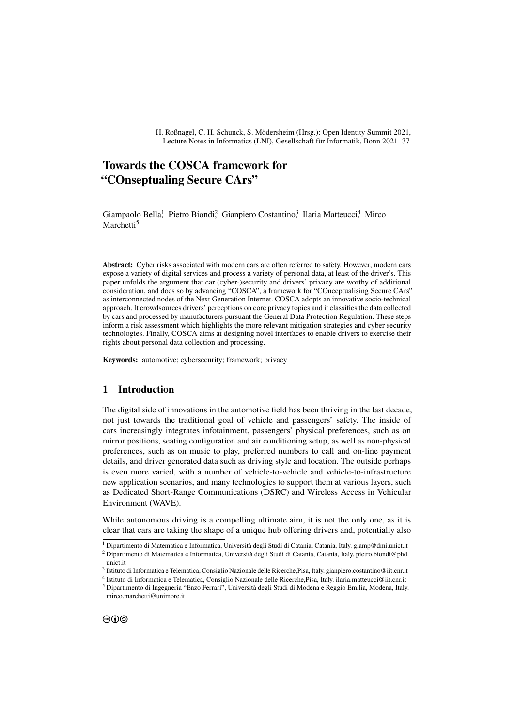# **Towards the COSCA framework for "COnseptualing Secure CArs"**

Giampaolo Bella,<sup>1</sup> Pietro Biondi<sup>2</sup>, Gianpiero Costantino<sup>3</sup>, Ilaria Matteucci<sup>4</sup>, Mirco Marchetti<sup>5</sup>

**Abstract:** Cyber risks associated with modern cars are often referred to safety. However, modern cars expose a variety of digital services and process a variety of personal data, at least of the driver's. This paper unfolds the argument that car (cyber-)security and drivers' privacy are worthy of additional consideration, and does so by advancing "COSCA", a framework for "COnceptualising Secure CArs" as interconnected nodes of the Next Generation Internet. COSCA adopts an innovative socio-technical approach. It crowdsources drivers' perceptions on core privacy topics and it classifies the data collected by cars and processed by manufacturers pursuant the General Data Protection Regulation. These steps inform a risk assessment which highlights the more relevant mitigation strategies and cyber security technologies. Finally, COSCA aims at designing novel interfaces to enable drivers to exercise their rights about personal data collection and processing.

**Keywords:** automotive; cybersecurity; framework; privacy

### **1 Introduction**

The digital side of innovations in the automotive field has been thriving in the last decade, not just towards the traditional goal of vehicle and passengers' safety. The inside of cars increasingly integrates infotainment, passengers' physical preferences, such as on mirror positions, seating configuration and air conditioning setup, as well as non-physical preferences, such as on music to play, preferred numbers to call and on-line payment details, and driver generated data such as driving style and location. The outside perhaps is even more varied, with a number of vehicle-to-vehicle and vehicle-to-infrastructure new application scenarios, and many technologies to support them at various layers, such as Dedicated Short-Range Communications (DSRC) and Wireless Access in Vehicular Environment (WAVE).

While autonomous driving is a compelling ultimate aim, it is not the only one, as it is clear that cars are taking the shape of a unique hub offering drivers and, potentially also

<sup>1</sup> Dipartimento di Matematica e Informatica, Università degli Studi di Catania, Catania, Italy. [giamp@dmi.unict.it](mailto:giamp@dmi.unict.it)

<sup>2</sup> Dipartimento di Matematica e Informatica, Università degli Studi di Catania, Catania, Italy. [pietro.biondi@phd.](mailto:pietro.biondi@phd.unict.it) [unict.it](mailto:pietro.biondi@phd.unict.it)

<sup>3</sup> Istituto di Informatica e Telematica, Consiglio Nazionale delle Ricerche,Pisa, Italy. [gianpiero.costantino@iit.cnr.it](mailto:gianpiero.costantino@iit.cnr.it)

<sup>4</sup> Istituto di Informatica e Telematica, Consiglio Nazionale delle Ricerche,Pisa, Italy. [ilaria.matteucci@iit.cnr.it](mailto:ilaria.matteucci@iit.cnr.it)

<sup>5</sup> Dipartimento di Ingegneria "Enzo Ferrari", Università degli Studi di Modena e Reggio Emilia, Modena, Italy. [mirco.marchetti@unimore.it](mailto:mirco.marchetti@unimore.it)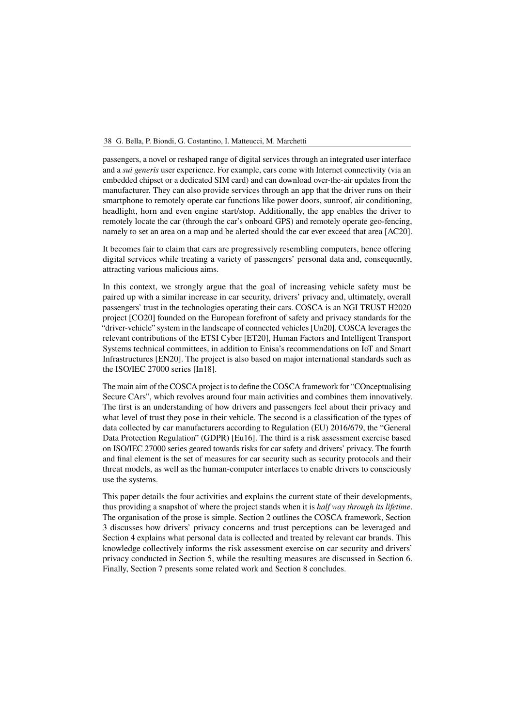#### 38 G. Bella, P. Biondi, G. Costantino, I. Matteucci, M. Marchetti

passengers, a novel or reshaped range of digital services through an integrated user interface and a *sui generis* user experience. For example, cars come with Internet connectivity (via an embedded chipset or a dedicated SIM card) and can download over-the-air updates from the manufacturer. They can also provide services through an app that the driver runs on their smartphone to remotely operate car functions like power doors, sunroof, air conditioning, headlight, horn and even engine start/stop. Additionally, the app enables the driver to remotely locate the car (through the car's onboard GPS) and remotely operate geo-fencing, namely to set an area on a map and be alerted should the car ever exceed that area [\[AC20\]](#page-8-0).

It becomes fair to claim that cars are progressively resembling computers, hence offering digital services while treating a variety of passengers' personal data and, consequently, attracting various malicious aims.

In this context, we strongly argue that the goal of increasing vehicle safety must be paired up with a similar increase in car security, drivers' privacy and, ultimately, overall passengers' trust in the technologies operating their cars. COSCA is an NGI TRUST H2020 project [\[CO20\]](#page-8-1) founded on the European forefront of safety and privacy standards for the "driver-vehicle" system in the landscape of connected vehicles [\[Un20\]](#page-9-0). COSCA leverages the relevant contributions of the ETSI Cyber [\[ET20\]](#page-9-1), Human Factors and Intelligent Transport Systems technical committees, in addition to Enisa's recommendations on IoT and Smart Infrastructures [\[EN20\]](#page-8-2). The project is also based on major international standards such as the ISO/IEC 27000 series [\[In18\]](#page-9-2).

The main aim of the COSCA project is to define the COSCA framework for "COnceptualising Secure CArs", which revolves around four main activities and combines them innovatively. The first is an understanding of how drivers and passengers feel about their privacy and what level of trust they pose in their vehicle. The second is a classification of the types of data collected by car manufacturers according to Regulation (EU) 2016/679, the "General Data Protection Regulation" (GDPR) [\[Eu16\]](#page-9-3). The third is a risk assessment exercise based on ISO/IEC 27000 series geared towards risks for car safety and drivers' privacy. The fourth and final element is the set of measures for car security such as security protocols and their threat models, as well as the human-computer interfaces to enable drivers to consciously use the systems.

This paper details the four activities and explains the current state of their developments, thus providing a snapshot of where the project stands when it is *half way through its lifetime*. The organisation of the prose is simple. Section [2](#page-2-0) outlines the COSCA framework, Section [3](#page-3-0) discusses how drivers' privacy concerns and trust perceptions can be leveraged and Section [4](#page-4-0) explains what personal data is collected and treated by relevant car brands. This knowledge collectively informs the risk assessment exercise on car security and drivers' privacy conducted in Section [5,](#page-4-1) while the resulting measures are discussed in Section [6.](#page-5-0) Finally, Section [7](#page-6-0) presents some related work and Section [8](#page-7-0) concludes.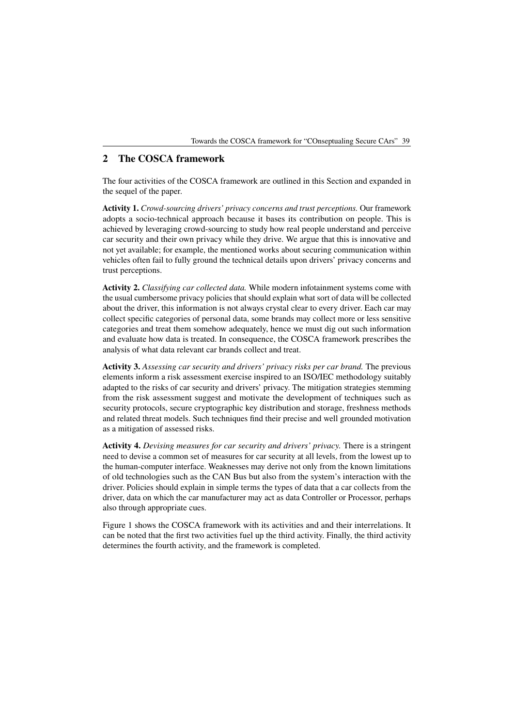## <span id="page-2-0"></span>**2 The COSCA framework**

The four activities of the COSCA framework are outlined in this Section and expanded in the sequel of the paper.

**Activity 1.** *Crowd-sourcing drivers' privacy concerns and trust perceptions.* Our framework adopts a socio-technical approach because it bases its contribution on people. This is achieved by leveraging crowd-sourcing to study how real people understand and perceive car security and their own privacy while they drive. We argue that this is innovative and not yet available; for example, the mentioned works about securing communication within vehicles often fail to fully ground the technical details upon drivers' privacy concerns and trust perceptions.

**Activity 2.** *Classifying car collected data.* While modern infotainment systems come with the usual cumbersome privacy policies that should explain what sort of data will be collected about the driver, this information is not always crystal clear to every driver. Each car may collect specific categories of personal data, some brands may collect more or less sensitive categories and treat them somehow adequately, hence we must dig out such information and evaluate how data is treated. In consequence, the COSCA framework prescribes the analysis of what data relevant car brands collect and treat.

**Activity 3.** *Assessing car security and drivers' privacy risks per car brand.* The previous elements inform a risk assessment exercise inspired to an ISO/IEC methodology suitably adapted to the risks of car security and drivers' privacy. The mitigation strategies stemming from the risk assessment suggest and motivate the development of techniques such as security protocols, secure cryptographic key distribution and storage, freshness methods and related threat models. Such techniques find their precise and well grounded motivation as a mitigation of assessed risks.

**Activity 4.** *Devising measures for car security and drivers' privacy.* There is a stringent need to devise a common set of measures for car security at all levels, from the lowest up to the human-computer interface. Weaknesses may derive not only from the known limitations of old technologies such as the CAN Bus but also from the system's interaction with the driver. Policies should explain in simple terms the types of data that a car collects from the driver, data on which the car manufacturer may act as data Controller or Processor, perhaps also through appropriate cues.

Figure [1](#page-3-1) shows the COSCA framework with its activities and and their interrelations. It can be noted that the first two activities fuel up the third activity. Finally, the third activity determines the fourth activity, and the framework is completed.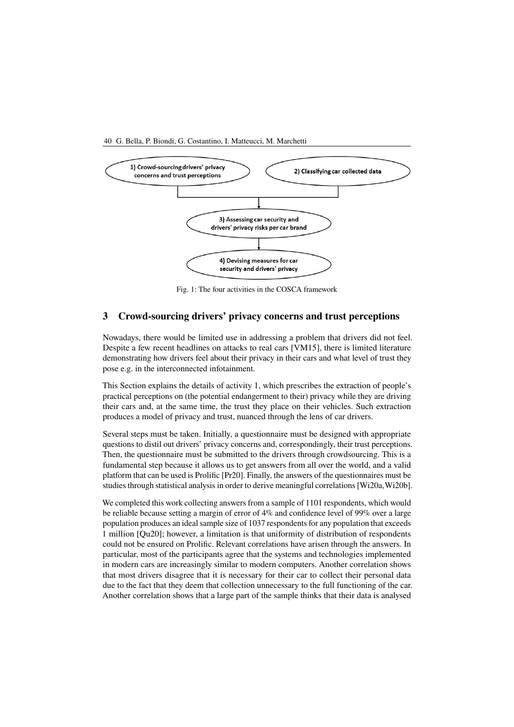

<span id="page-3-1"></span>

Fig. 1: The four activities in the COSCA framework

## <span id="page-3-0"></span>**3 Crowd-sourcing drivers' privacy concerns and trust perceptions**

Nowadays, there would be limited use in addressing a problem that drivers did not feel. Despite a few recent headlines on attacks to real cars [\[VM15\]](#page-9-4), there is limited literature demonstrating how drivers feel about their privacy in their cars and what level of trust they pose e.g. in the interconnected infotainment.

This Section explains the details of activity 1, which prescribes the extraction of people's practical perceptions on (the potential endangerment to their) privacy while they are driving their cars and, at the same time, the trust they place on their vehicles. Such extraction produces a model of privacy and trust, nuanced through the lens of car drivers.

Several steps must be taken. Initially, a questionnaire must be designed with appropriate questions to distil out drivers' privacy concerns and, correspondingly, their trust perceptions. Then, the questionnaire must be submitted to the drivers through crowdsourcing. This is a fundamental step because it allows us to get answers from all over the world, and a valid platform that can be used is Prolific [\[Pr20\]](#page-9-5). Finally, the answers of the questionnaires must be studies through statistical analysis in order to derive meaningful correlations [\[Wi20a,](#page-9-6)[Wi20b\]](#page-9-7).

We completed this work collecting answers from a sample of 1101 respondents, which would be reliable because setting a margin of error of 4% and confidence level of 99% over a large population produces an ideal sample size of 1037 respondents for any population that exceeds 1 million [\[Qu20\]](#page-9-8); however, a limitation is that uniformity of distribution of respondents could not be ensured on Prolific. Relevant correlations have arisen through the answers. In particular, most of the participants agree that the systems and technologies implemented in modern cars are increasingly similar to modern computers. Another correlation shows that most drivers disagree that it is necessary for their car to collect their personal data due to the fact that they deem that collection unnecessary to the full functioning of the car. Another correlation shows that a large part of the sample thinks that their data is analysed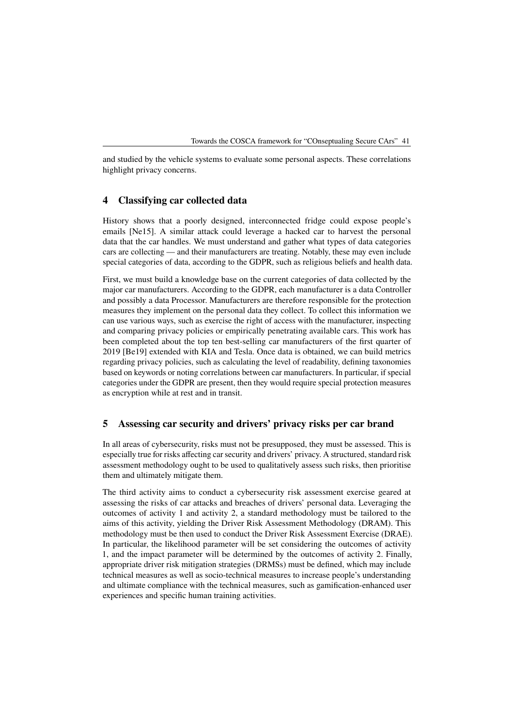and studied by the vehicle systems to evaluate some personal aspects. These correlations highlight privacy concerns.

#### <span id="page-4-0"></span>**4 Classifying car collected data**

History shows that a poorly designed, interconnected fridge could expose people's emails [\[Ne15\]](#page-9-9). A similar attack could leverage a hacked car to harvest the personal data that the car handles. We must understand and gather what types of data categories cars are collecting — and their manufacturers are treating. Notably, these may even include special categories of data, according to the GDPR, such as religious beliefs and health data.

First, we must build a knowledge base on the current categories of data collected by the major car manufacturers. According to the GDPR, each manufacturer is a data Controller and possibly a data Processor. Manufacturers are therefore responsible for the protection measures they implement on the personal data they collect. To collect this information we can use various ways, such as exercise the right of access with the manufacturer, inspecting and comparing privacy policies or empirically penetrating available cars. This work has been completed about the top ten best-selling car manufacturers of the first quarter of 2019 [\[Be19\]](#page-8-3) extended with KIA and Tesla. Once data is obtained, we can build metrics regarding privacy policies, such as calculating the level of readability, defining taxonomies based on keywords or noting correlations between car manufacturers. In particular, if special categories under the GDPR are present, then they would require special protection measures as encryption while at rest and in transit.

## <span id="page-4-1"></span>**5 Assessing car security and drivers' privacy risks per car brand**

In all areas of cybersecurity, risks must not be presupposed, they must be assessed. This is especially true for risks affecting car security and drivers' privacy. A structured, standard risk assessment methodology ought to be used to qualitatively assess such risks, then prioritise them and ultimately mitigate them.

The third activity aims to conduct a cybersecurity risk assessment exercise geared at assessing the risks of car attacks and breaches of drivers' personal data. Leveraging the outcomes of activity 1 and activity 2, a standard methodology must be tailored to the aims of this activity, yielding the Driver Risk Assessment Methodology (DRAM). This methodology must be then used to conduct the Driver Risk Assessment Exercise (DRAE). In particular, the likelihood parameter will be set considering the outcomes of activity 1, and the impact parameter will be determined by the outcomes of activity 2. Finally, appropriate driver risk mitigation strategies (DRMSs) must be defined, which may include technical measures as well as socio-technical measures to increase people's understanding and ultimate compliance with the technical measures, such as gamification-enhanced user experiences and specific human training activities.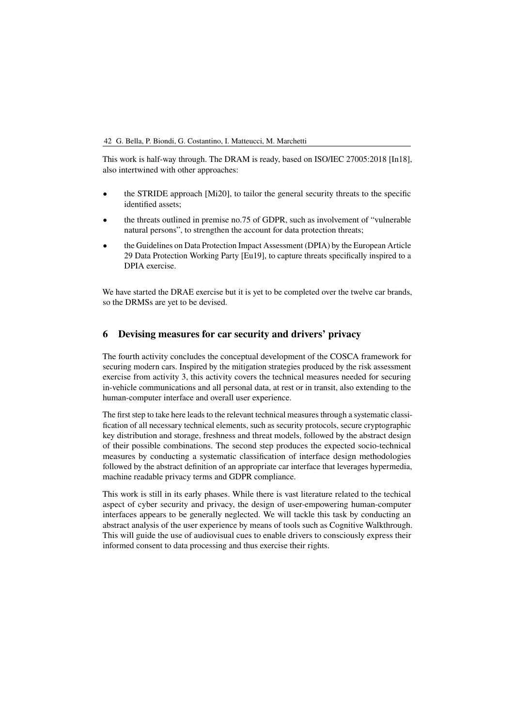#### 42 G. Bella, P. Biondi, G. Costantino, I. Matteucci, M. Marchetti

This work is half-way through. The DRAM is ready, based on ISO/IEC 27005:2018 [\[In18\]](#page-9-2), also intertwined with other approaches:

- the STRIDE approach [\[Mi20\]](#page-9-10), to tailor the general security threats to the specific identified assets;
- the threats outlined in premise no.75 of GDPR, such as involvement of "vulnerable natural persons", to strengthen the account for data protection threats;
- the Guidelines on Data Protection Impact Assessment (DPIA) by the European Article 29 Data Protection Working Party [\[Eu19\]](#page-9-11), to capture threats specifically inspired to a DPIA exercise.

We have started the DRAE exercise but it is yet to be completed over the twelve car brands, so the DRMSs are yet to be devised.

## <span id="page-5-0"></span>**6 Devising measures for car security and drivers' privacy**

The fourth activity concludes the conceptual development of the COSCA framework for securing modern cars. Inspired by the mitigation strategies produced by the risk assessment exercise from activity 3, this activity covers the technical measures needed for securing in-vehicle communications and all personal data, at rest or in transit, also extending to the human-computer interface and overall user experience.

The first step to take here leads to the relevant technical measures through a systematic classification of all necessary technical elements, such as security protocols, secure cryptographic key distribution and storage, freshness and threat models, followed by the abstract design of their possible combinations. The second step produces the expected socio-technical measures by conducting a systematic classification of interface design methodologies followed by the abstract definition of an appropriate car interface that leverages hypermedia, machine readable privacy terms and GDPR compliance.

This work is still in its early phases. While there is vast literature related to the techical aspect of cyber security and privacy, the design of user-empowering human-computer interfaces appears to be generally neglected. We will tackle this task by conducting an abstract analysis of the user experience by means of tools such as Cognitive Walkthrough. This will guide the use of audiovisual cues to enable drivers to consciously express their informed consent to data processing and thus exercise their rights.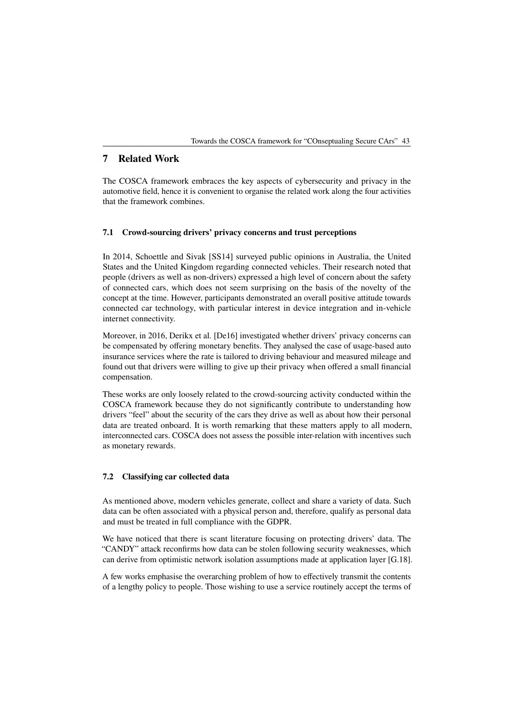## <span id="page-6-0"></span>**7 Related Work**

The COSCA framework embraces the key aspects of cybersecurity and privacy in the automotive field, hence it is convenient to organise the related work along the four activities that the framework combines.

### **7.1 Crowd-sourcing drivers' privacy concerns and trust perceptions**

In 2014, Schoettle and Sivak [\[SS14\]](#page-9-12) surveyed public opinions in Australia, the United States and the United Kingdom regarding connected vehicles. Their research noted that people (drivers as well as non-drivers) expressed a high level of concern about the safety of connected cars, which does not seem surprising on the basis of the novelty of the concept at the time. However, participants demonstrated an overall positive attitude towards connected car technology, with particular interest in device integration and in-vehicle internet connectivity.

Moreover, in 2016, Derikx et al. [\[De16\]](#page-8-4) investigated whether drivers' privacy concerns can be compensated by offering monetary benefits. They analysed the case of usage-based auto insurance services where the rate is tailored to driving behaviour and measured mileage and found out that drivers were willing to give up their privacy when offered a small financial compensation.

These works are only loosely related to the crowd-sourcing activity conducted within the COSCA framework because they do not significantly contribute to understanding how drivers "feel" about the security of the cars they drive as well as about how their personal data are treated onboard. It is worth remarking that these matters apply to all modern, interconnected cars. COSCA does not assess the possible inter-relation with incentives such as monetary rewards.

#### **7.2 Classifying car collected data**

As mentioned above, modern vehicles generate, collect and share a variety of data. Such data can be often associated with a physical person and, therefore, qualify as personal data and must be treated in full compliance with the GDPR.

We have noticed that there is scant literature focusing on protecting drivers' data. The "CANDY" attack reconfirms how data can be stolen following security weaknesses, which can derive from optimistic network isolation assumptions made at application layer [\[G.18\]](#page-9-13).

A few works emphasise the overarching problem of how to effectively transmit the contents of a lengthy policy to people. Those wishing to use a service routinely accept the terms of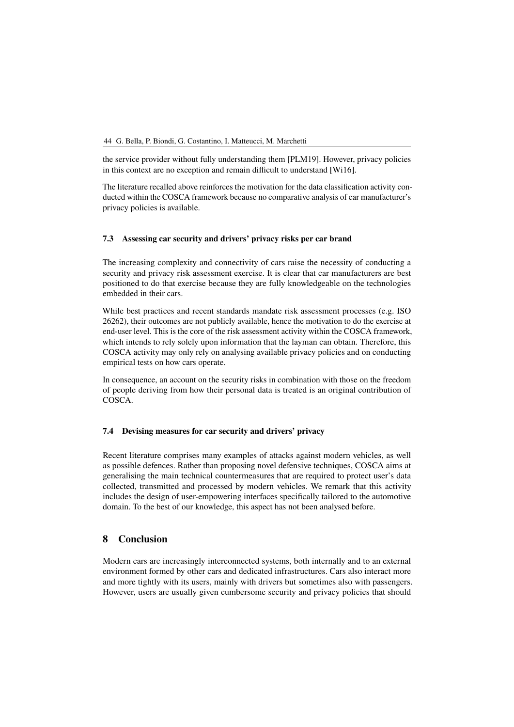#### 44 G. Bella, P. Biondi, G. Costantino, I. Matteucci, M. Marchetti

the service provider without fully understanding them [\[PLM19\]](#page-9-14). However, privacy policies in this context are no exception and remain difficult to understand [\[Wi16\]](#page-9-15).

The literature recalled above reinforces the motivation for the data classification activity conducted within the COSCA framework because no comparative analysis of car manufacturer's privacy policies is available.

#### **7.3 Assessing car security and drivers' privacy risks per car brand**

The increasing complexity and connectivity of cars raise the necessity of conducting a security and privacy risk assessment exercise. It is clear that car manufacturers are best positioned to do that exercise because they are fully knowledgeable on the technologies embedded in their cars.

While best practices and recent standards mandate risk assessment processes (e.g. ISO 26262), their outcomes are not publicly available, hence the motivation to do the exercise at end-user level. This is the core of the risk assessment activity within the COSCA framework, which intends to rely solely upon information that the layman can obtain. Therefore, this COSCA activity may only rely on analysing available privacy policies and on conducting empirical tests on how cars operate.

In consequence, an account on the security risks in combination with those on the freedom of people deriving from how their personal data is treated is an original contribution of COSCA.

#### **7.4 Devising measures for car security and drivers' privacy**

Recent literature comprises many examples of attacks against modern vehicles, as well as possible defences. Rather than proposing novel defensive techniques, COSCA aims at generalising the main technical countermeasures that are required to protect user's data collected, transmitted and processed by modern vehicles. We remark that this activity includes the design of user-empowering interfaces specifically tailored to the automotive domain. To the best of our knowledge, this aspect has not been analysed before.

## <span id="page-7-0"></span>**8 Conclusion**

Modern cars are increasingly interconnected systems, both internally and to an external environment formed by other cars and dedicated infrastructures. Cars also interact more and more tightly with its users, mainly with drivers but sometimes also with passengers. However, users are usually given cumbersome security and privacy policies that should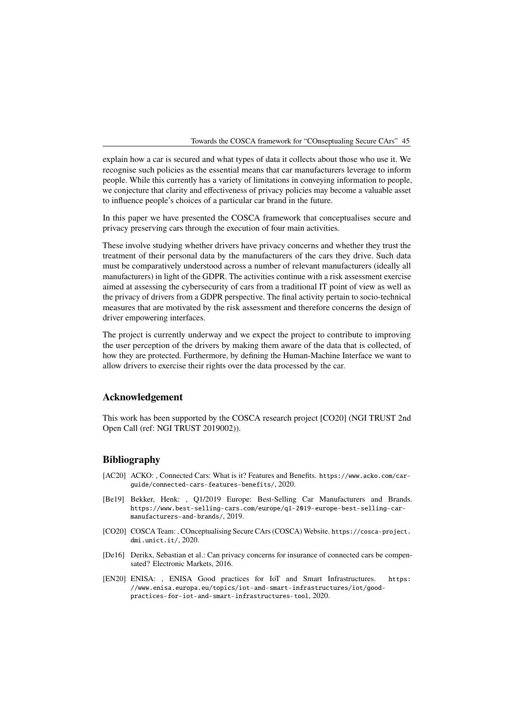explain how a car is secured and what types of data it collects about those who use it. We recognise such policies as the essential means that car manufacturers leverage to inform people. While this currently has a variety of limitations in conveying information to people, we conjecture that clarity and effectiveness of privacy policies may become a valuable asset to influence people's choices of a particular car brand in the future.

In this paper we have presented the COSCA framework that conceptualises secure and privacy preserving cars through the execution of four main activities.

These involve studying whether drivers have privacy concerns and whether they trust the treatment of their personal data by the manufacturers of the cars they drive. Such data must be comparatively understood across a number of relevant manufacturers (ideally all manufacturers) in light of the GDPR. The activities continue with a risk assessment exercise aimed at assessing the cybersecurity of cars from a traditional IT point of view as well as the privacy of drivers from a GDPR perspective. The final activity pertain to socio-technical measures that are motivated by the risk assessment and therefore concerns the design of driver empowering interfaces.

The project is currently underway and we expect the project to contribute to improving the user perception of the drivers by making them aware of the data that is collected, of how they are protected. Furthermore, by defining the Human-Machine Interface we want to allow drivers to exercise their rights over the data processed by the car.

### **Acknowledgement**

This work has been supported by the COSCA research project [\[CO20\]](#page-8-1) (NGI TRUST 2nd Open Call (ref: NGI TRUST 2019002)).

### **Bibliography**

- <span id="page-8-0"></span>[AC20] ACKO: , Connected Cars: What is it? Features and Benefits. [https://www.acko.com/car](https://www.acko.com/car-guide/connected-cars-features-benefits/)[guide/connected-cars-features-benefits/](https://www.acko.com/car-guide/connected-cars-features-benefits/), 2020.
- <span id="page-8-3"></span>[Be19] Bekker, Henk: , Q1/2019 Europe: Best-Selling Car Manufacturers and Brands. [https://www.best-selling-cars.com/europe/q1-2019-europe-best-selling-car](https://www.best-selling-cars.com/europe/q1-2019-europe-best-selling-car-manufacturers-and-brands/)[manufacturers-and-brands/](https://www.best-selling-cars.com/europe/q1-2019-europe-best-selling-car-manufacturers-and-brands/), 2019.
- <span id="page-8-1"></span>[CO20] COSCA Team: , COnceptualising Secure CArs (COSCA) Website. [https://cosca-project.](https://cosca-project.dmi.unict.it/) [dmi.unict.it/](https://cosca-project.dmi.unict.it/), 2020.
- <span id="page-8-4"></span>[De16] Derikx, Sebastian et al.: Can privacy concerns for insurance of connected cars be compensated? Electronic Markets, 2016.
- <span id="page-8-2"></span>[EN20] ENISA: , ENISA Good practices for IoT and Smart Infrastructures. [https:](https://www.enisa.europa.eu/topics/iot-and-smart-infrastructures/iot/good-practices-for-iot-and-smart-infrastructures-tool) [//www.enisa.europa.eu/topics/iot-and-smart-infrastructures/iot/good](https://www.enisa.europa.eu/topics/iot-and-smart-infrastructures/iot/good-practices-for-iot-and-smart-infrastructures-tool)[practices-for-iot-and-smart-infrastructures-tool](https://www.enisa.europa.eu/topics/iot-and-smart-infrastructures/iot/good-practices-for-iot-and-smart-infrastructures-tool), 2020.